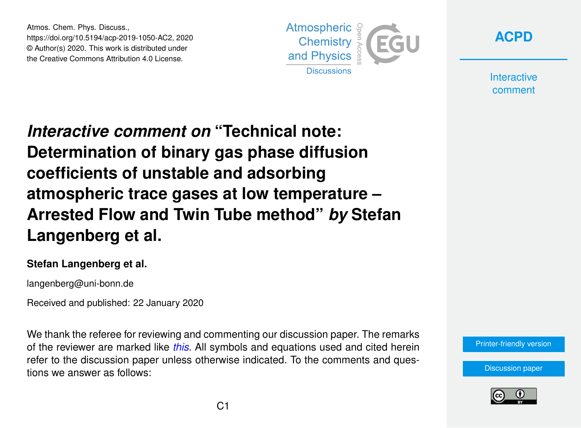Atmos. Chem. Phys. Discuss., https://doi.org/10.5194/acp-2019-1050-AC2, 2020 © Author(s) 2020. This work is distributed under the Creative Commons Attribution 4.0 License.





**Interactive** comment

*Interactive comment on* **"Technical note: Determination of binary gas phase diffusion coefficients of unstable and adsorbing atmospheric trace gases at low temperature – Arrested Flow and Twin Tube method"** *by* **Stefan Langenberg et al.**

## **Stefan Langenberg et al.**

langenberg@uni-bonn.de

Received and published: 22 January 2020

We thank the referee for reviewing and commenting our discussion paper. The remarks of the reviewer are marked like *this*. All symbols and equations used and cited herein refer to the discussion paper unless otherwise indicated. To the comments and questions we answer as follows:



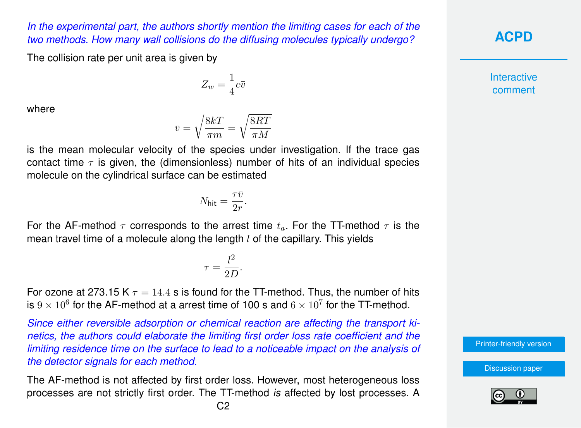## *In the experimental part, the authors shortly mention the limiting cases for each of the two methods. How many wall collisions do the diffusing molecules typically undergo?*

The collision rate per unit area is given by

 $Z_w = \frac{1}{4}$  $\frac{1}{4}c\bar{v}$ 

where

$$
\bar{v}=\sqrt{\frac{8kT}{\pi m}}=\sqrt{\frac{8RT}{\pi M}}
$$

is the mean molecular velocity of the species under investigation. If the trace gas contact time  $\tau$  is given, the (dimensionless) number of hits of an individual species molecule on the cylindrical surface can be estimated

$$
N_{\text{hit}} = \frac{\tau \bar{v}}{2r}.
$$

For the AF-method  $\tau$  corresponds to the arrest time  $t_a$ . For the TT-method  $\tau$  is the mean travel time of a molecule along the length  $l$  of the capillary. This yields

$$
\tau = \frac{l^2}{2D}.
$$

For ozone at 273.15 K  $\tau = 14.4$  s is found for the TT-method. Thus, the number of hits is  $9 \times 10^6$  for the AF-method at a arrest time of 100 s and  $6 \times 10^7$  for the TT-method.

*Since either reversible adsorption or chemical reaction are affecting the transport kinetics, the authors could elaborate the limiting first order loss rate coefficient and the limiting residence time on the surface to lead to a noticeable impact on the analysis of the detector signals for each method.*

The AF-method is not affected by first order loss. However, most heterogeneous loss processes are not strictly first order. The TT-method *is* affected by lost processes. A **[ACPD](https://www.atmos-chem-phys-discuss.net/)**

**Interactive** comment

[Printer-friendly version](https://www.atmos-chem-phys-discuss.net/acp-2019-1050/acp-2019-1050-AC2-print.pdf)

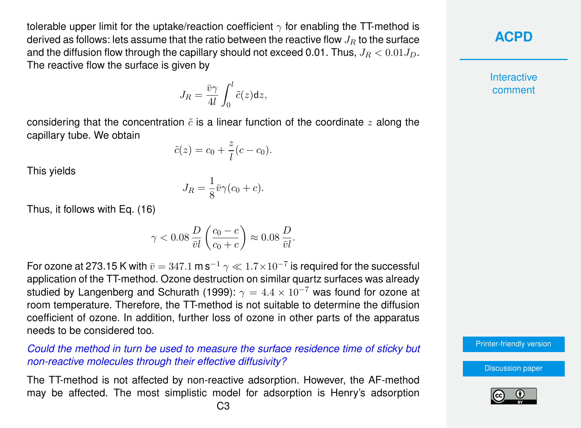tolerable upper limit for the uptake/reaction coefficient  $\gamma$  for enabling the TT-method is derived as follows: lets assume that the ratio between the reactive flow  $J_R$  to the surface and the diffusion flow through the capillary should not exceed 0.01. Thus,  $J_R < 0.01 J_D$ . The reactive flow the surface is given by

$$
J_R = \frac{\bar{v}\gamma}{4l} \int_0^l \tilde{c}(z) \mathrm{d}z,
$$

considering that the concentration  $\tilde{c}$  is a linear function of the coordinate z along the capillary tube. We obtain

 $\tilde{c}(z) = c_0 + \frac{z}{l}$  $\frac{z}{l}(c-c_0).$ 

This yields

$$
J_R = \frac{1}{8}\bar{v}\gamma(c_0 + c).
$$

Thus, it follows with Eq. (16)

$$
\gamma < 0.08 \frac{D}{\bar{v}l} \left( \frac{c_0 - c}{c_0 + c} \right) \approx 0.08 \frac{D}{\bar{v}l}.
$$

For ozone at 273.15 K with  $\bar{v}=347.1$  m s $^{-1}$   $\gamma\ll1.7\times10^{-7}$  is required for the successful application of the TT-method. Ozone destruction on similar quartz surfaces was already studied by Langenberg and Schurath (1999):  $\gamma = 4.4 \times 10^{-7}$  was found for ozone at room temperature. Therefore, the TT-method is not suitable to determine the diffusion coefficient of ozone. In addition, further loss of ozone in other parts of the apparatus needs to be considered too.

*Could the method in turn be used to measure the surface residence time of sticky but non-reactive molecules through their effective diffusivity?*

The TT-method is not affected by non-reactive adsorption. However, the AF-method may be affected. The most simplistic model for adsorption is Henry's adsorption



**Interactive** comment

[Printer-friendly version](https://www.atmos-chem-phys-discuss.net/acp-2019-1050/acp-2019-1050-AC2-print.pdf)

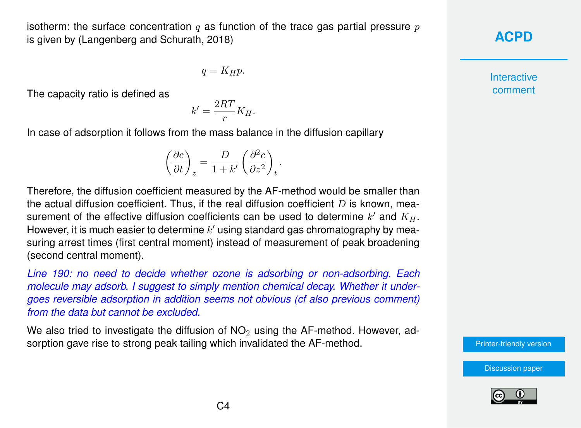isotherm: the surface concentration q as function of the trace gas partial pressure  $p$ is given by (Langenberg and Schurath, 2018)

$$
q=K_H p.
$$

The capacity ratio is defined as

$$
k' = \frac{2RT}{r}K_H.
$$

In case of adsorption it follows from the mass balance in the diffusion capillary

$$
\left(\frac{\partial c}{\partial t}\right)_z=\frac{D}{1+k'}\left(\frac{\partial^2 c}{\partial z^2}\right)_t.
$$

Therefore, the diffusion coefficient measured by the AF-method would be smaller than the actual diffusion coefficient. Thus, if the real diffusion coefficient  $D$  is known, measurement of the effective diffusion coefficients can be used to determine  $k'$  and  $K_H$ . However, it is much easier to determine  $k'$  using standard gas chromatography by measuring arrest times (first central moment) instead of measurement of peak broadening (second central moment).

*Line 190: no need to decide whether ozone is adsorbing or non-adsorbing. Each molecule may adsorb. I suggest to simply mention chemical decay. Whether it undergoes reversible adsorption in addition seems not obvious (cf also previous comment) from the data but cannot be excluded.*

We also tried to investigate the diffusion of  $NO<sub>2</sub>$  using the AF-method. However, adsorption gave rise to strong peak tailing which invalidated the AF-method.



**Interactive** comment

[Printer-friendly version](https://www.atmos-chem-phys-discuss.net/acp-2019-1050/acp-2019-1050-AC2-print.pdf)